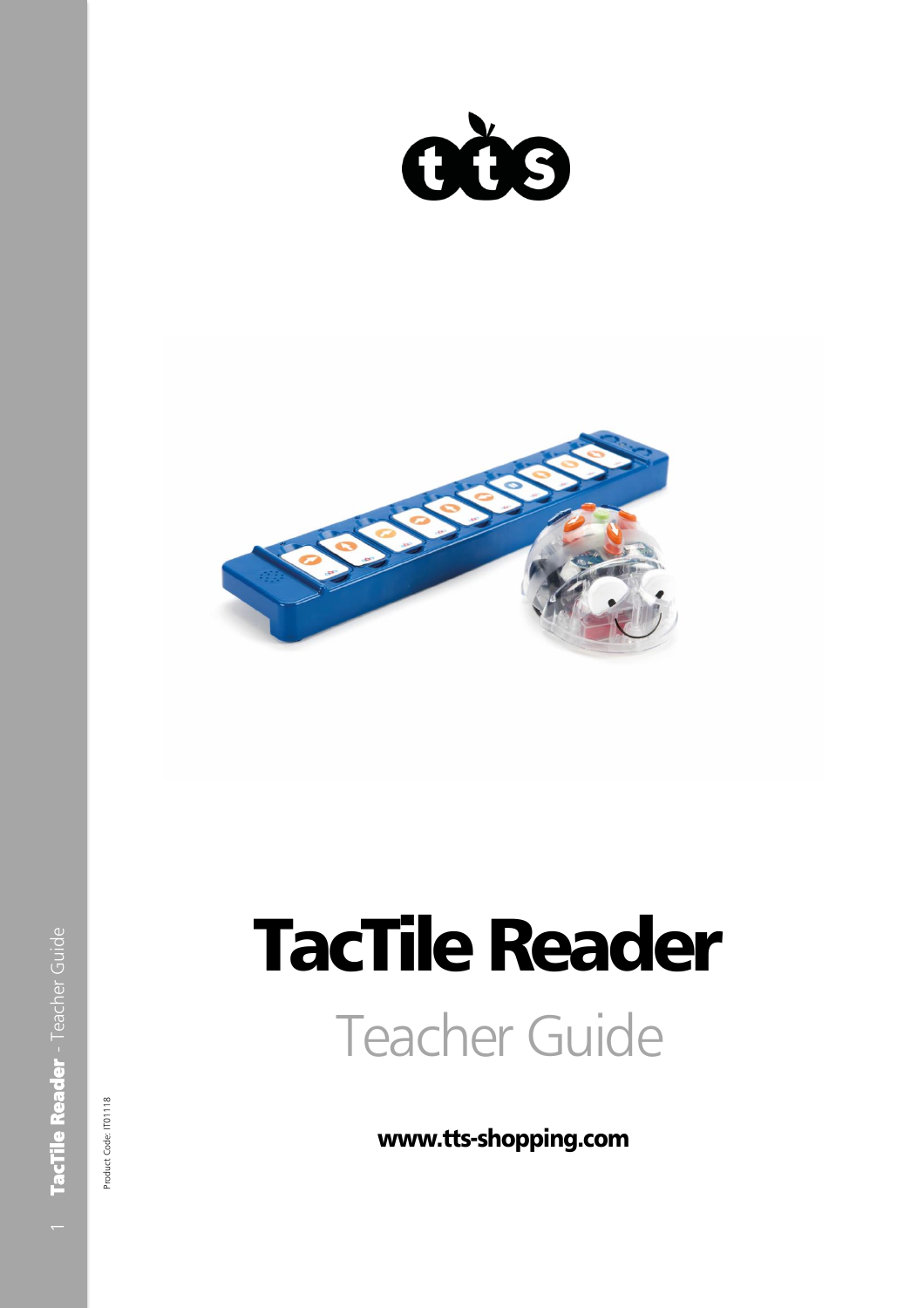



# Teacher Guide TacTile Reader

www.tts -shopping.com

Product Code: IT01118 Product Code: IT01118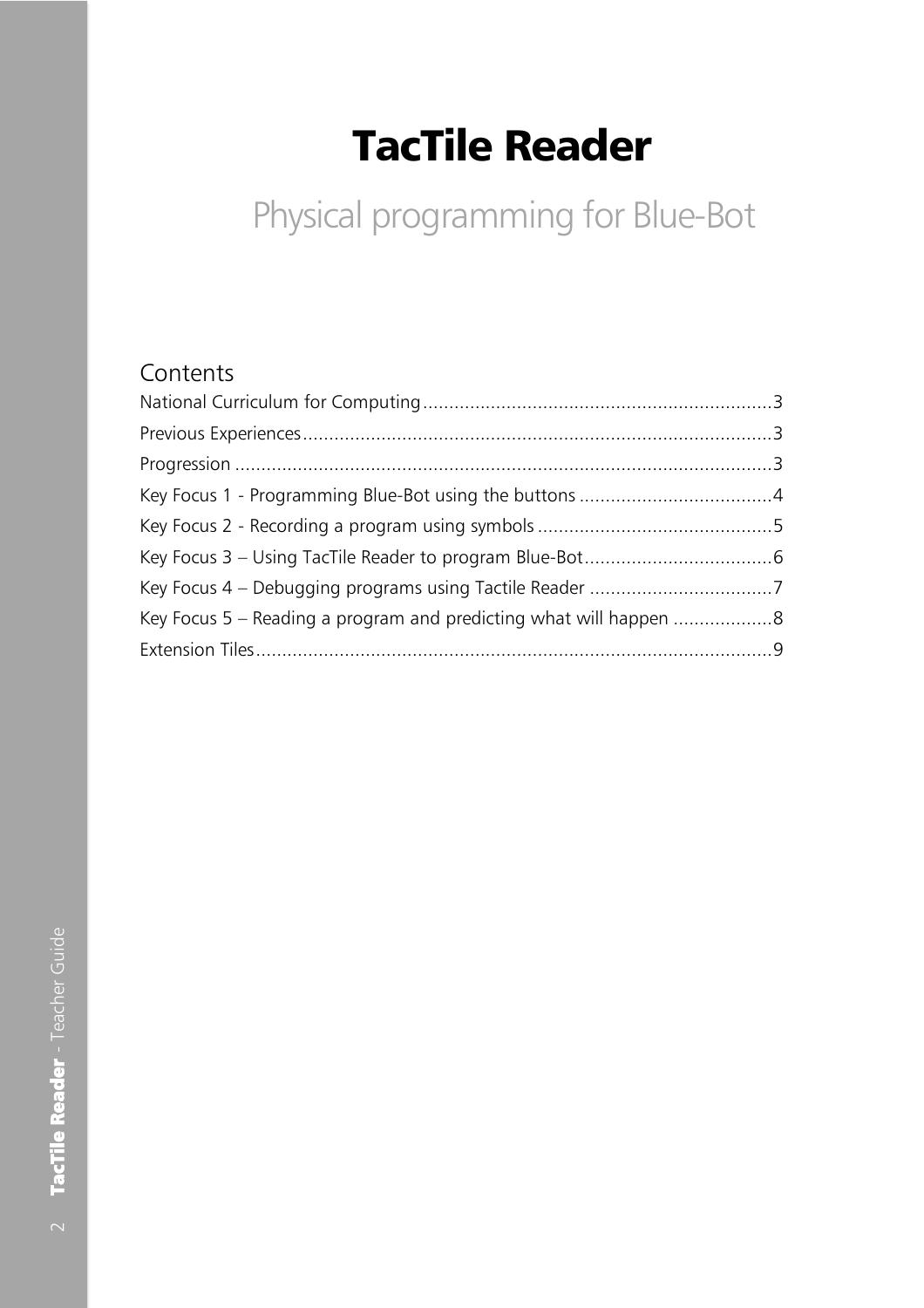# TacTile Reader

# Physical programming for Blue-Bot

# Contents

| Key Focus 5 – Reading a program and predicting what will happen 8 |  |
|-------------------------------------------------------------------|--|
|                                                                   |  |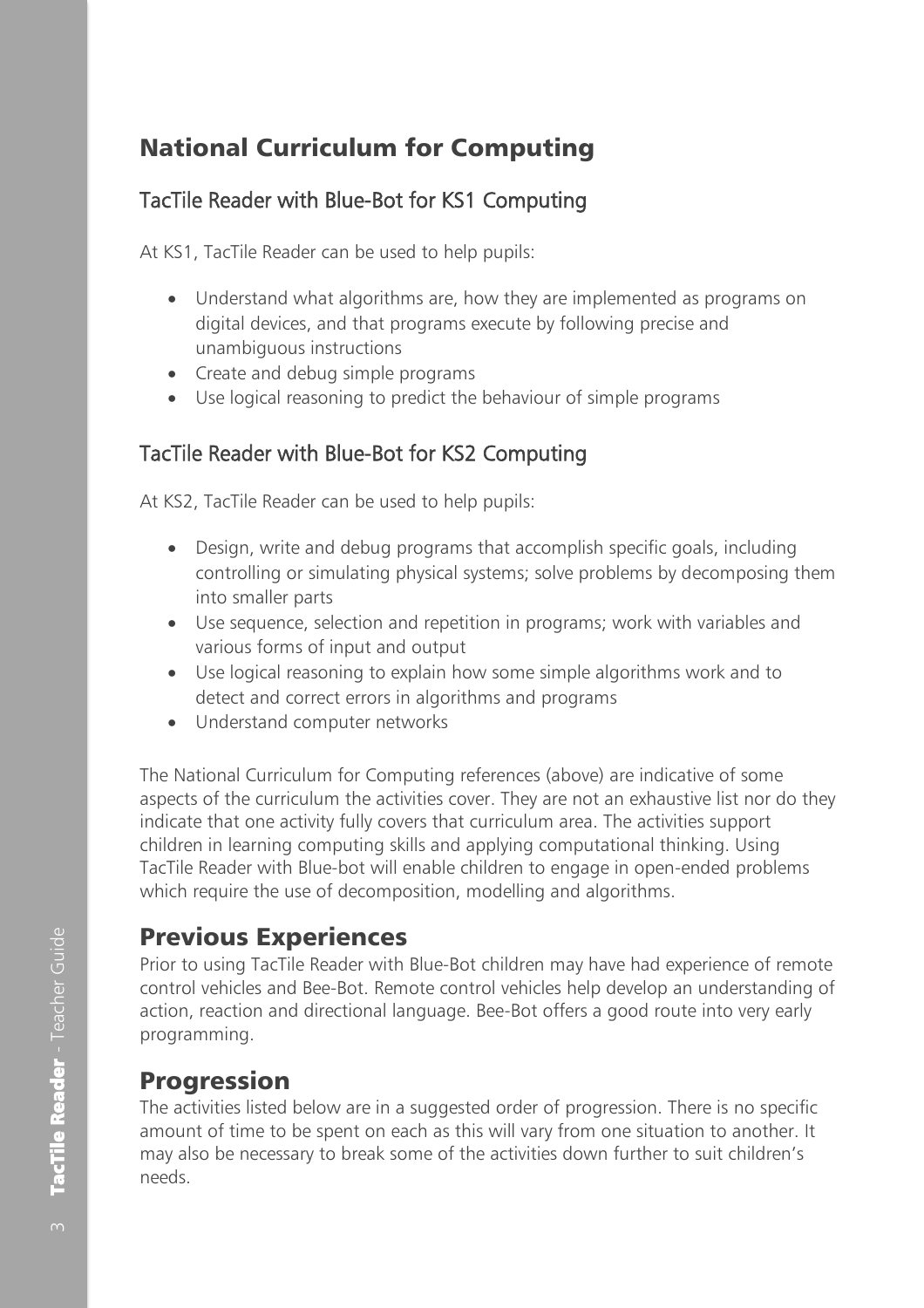## <span id="page-2-0"></span>National Curriculum for Computing

#### TacTile Reader with Blue-Bot for KS1 Computing

At KS1, TacTile Reader can be used to help pupils:

- Understand what algorithms are, how they are implemented as programs on digital devices, and that programs execute by following precise and unambiguous instructions
- Create and debug simple programs
- Use logical reasoning to predict the behaviour of simple programs

#### TacTile Reader with Blue-Bot for KS2 Computing

At KS2, TacTile Reader can be used to help pupils:

- Design, write and debug programs that accomplish specific goals, including controlling or simulating physical systems; solve problems by decomposing them into smaller parts
- Use sequence, selection and repetition in programs; work with variables and various forms of input and output
- Use logical reasoning to explain how some simple algorithms work and to detect and correct errors in algorithms and programs
- Understand computer networks

The National Curriculum for Computing references (above) are indicative of some aspects of the curriculum the activities cover. They are not an exhaustive list nor do they indicate that one activity fully covers that curriculum area. The activities support children in learning computing skills and applying computational thinking. Using TacTile Reader with Blue-bot will enable children to engage in open-ended problems which require the use of decomposition, modelling and algorithms.

#### <span id="page-2-1"></span>Previous Experiences

Prior to using TacTile Reader with Blue-Bot children may have had experience of remote control vehicles and Bee-Bot. Remote control vehicles help develop an understanding of action, reaction and directional language. Bee-Bot offers a good route into very early programming.

#### <span id="page-2-2"></span>Progression

The activities listed below are in a suggested order of progression. There is no specific amount of time to be spent on each as this will vary from one situation to another. It may also be necessary to break some of the activities down further to suit children's needs.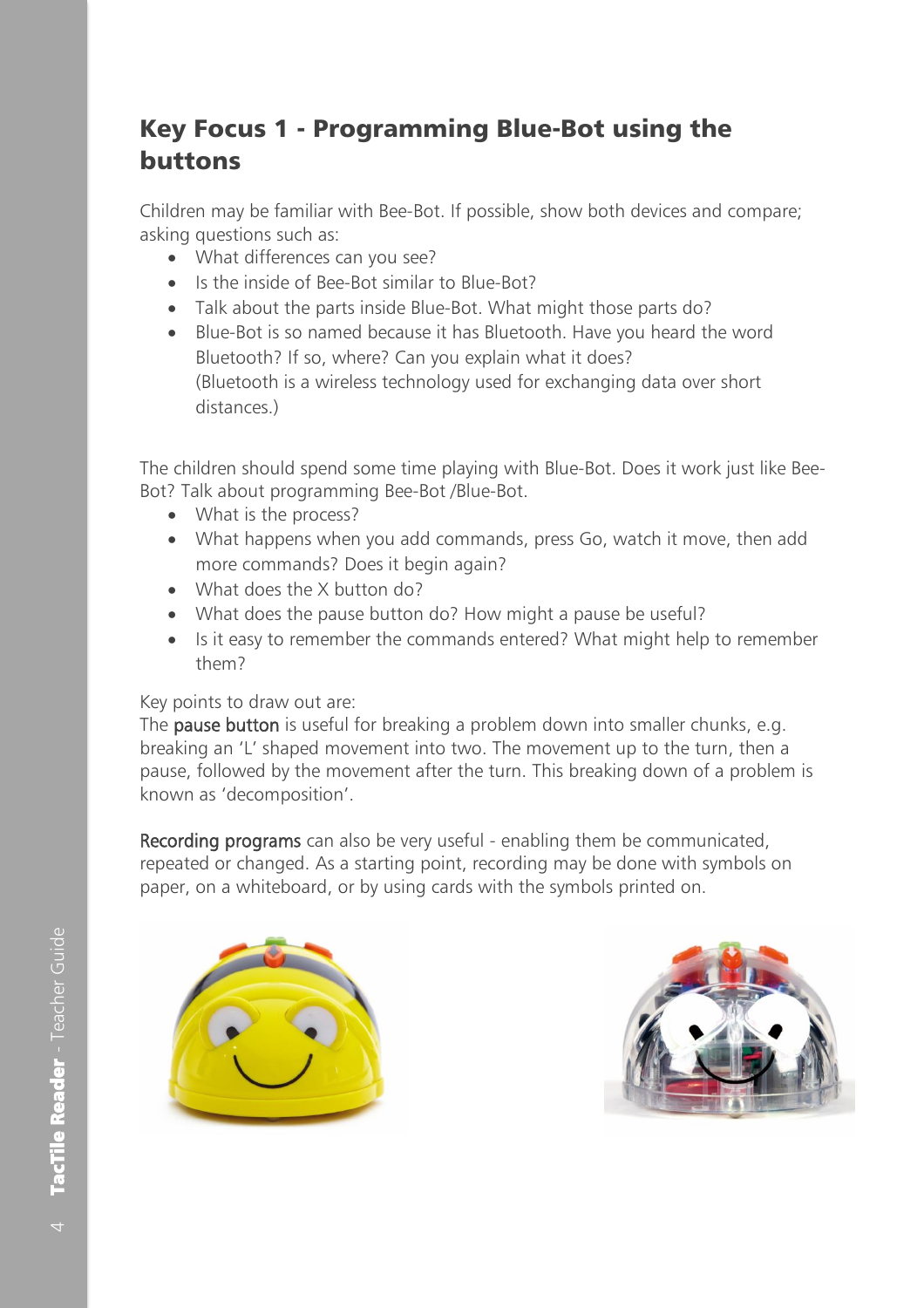# <span id="page-3-0"></span>Key Focus 1 - Programming Blue-Bot using the buttons

Children may be familiar with Bee-Bot. If possible, show both devices and compare; asking questions such as:

- What differences can you see?
- Is the inside of Bee-Bot similar to Blue-Bot?
- Talk about the parts inside Blue-Bot. What might those parts do?
- Blue-Bot is so named because it has Bluetooth. Have you heard the word Bluetooth? If so, where? Can you explain what it does? (Bluetooth is a wireless technology used for exchanging data over short distances.)

The children should spend some time playing with Blue-Bot. Does it work just like Bee-Bot? Talk about programming Bee-Bot /Blue-Bot.

- What is the process?
- What happens when you add commands, press Go, watch it move, then add more commands? Does it begin again?
- What does the X button do?
- What does the pause button do? How might a pause be useful?
- Is it easy to remember the commands entered? What might help to remember them?

#### Key points to draw out are:

The **pause button** is useful for breaking a problem down into smaller chunks, e.g. breaking an 'L' shaped movement into two. The movement up to the turn, then a pause, followed by the movement after the turn. This breaking down of a problem is known as 'decomposition'.

Recording programs can also be very useful - enabling them be communicated, repeated or changed. As a starting point, recording may be done with symbols on paper, on a whiteboard, or by using cards with the symbols printed on.



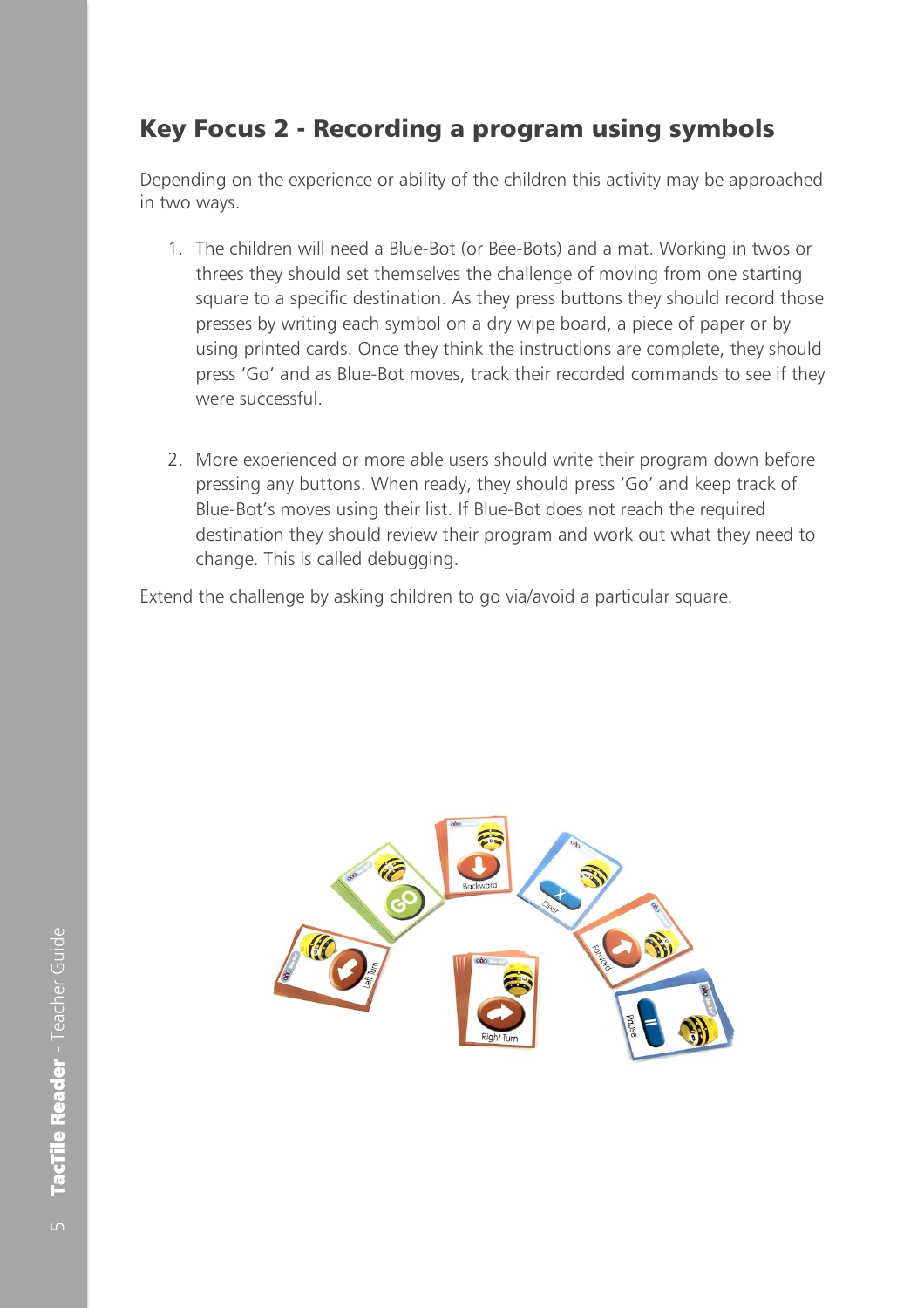## <span id="page-4-0"></span>Key Focus 2 - Recording a program using symbols

Depending on the experience or ability of the children this activity may be approached in two ways.

- 1. The children will need a Blue-Bot (or Bee-Bots) and a mat. Working in twos or threes they should set themselves the challenge of moving from one starting square to a specific destination. As they press buttons they should record those presses by writing each symbol on a dry wipe board, a piece of paper or by using printed cards. Once they think the instructions are complete, they should press 'Go' and as Blue-Bot moves, track their recorded commands to see if they were successful.
- 2. More experienced or more able users should write their program down before pressing any buttons. When ready, they should press 'Go' and keep track of Blue-Bot's moves using their list. If Blue-Bot does not reach the required destination they should review their program and work out what they need to change. This is called debugging.

Extend the challenge by asking children to go via/avoid a particular square.

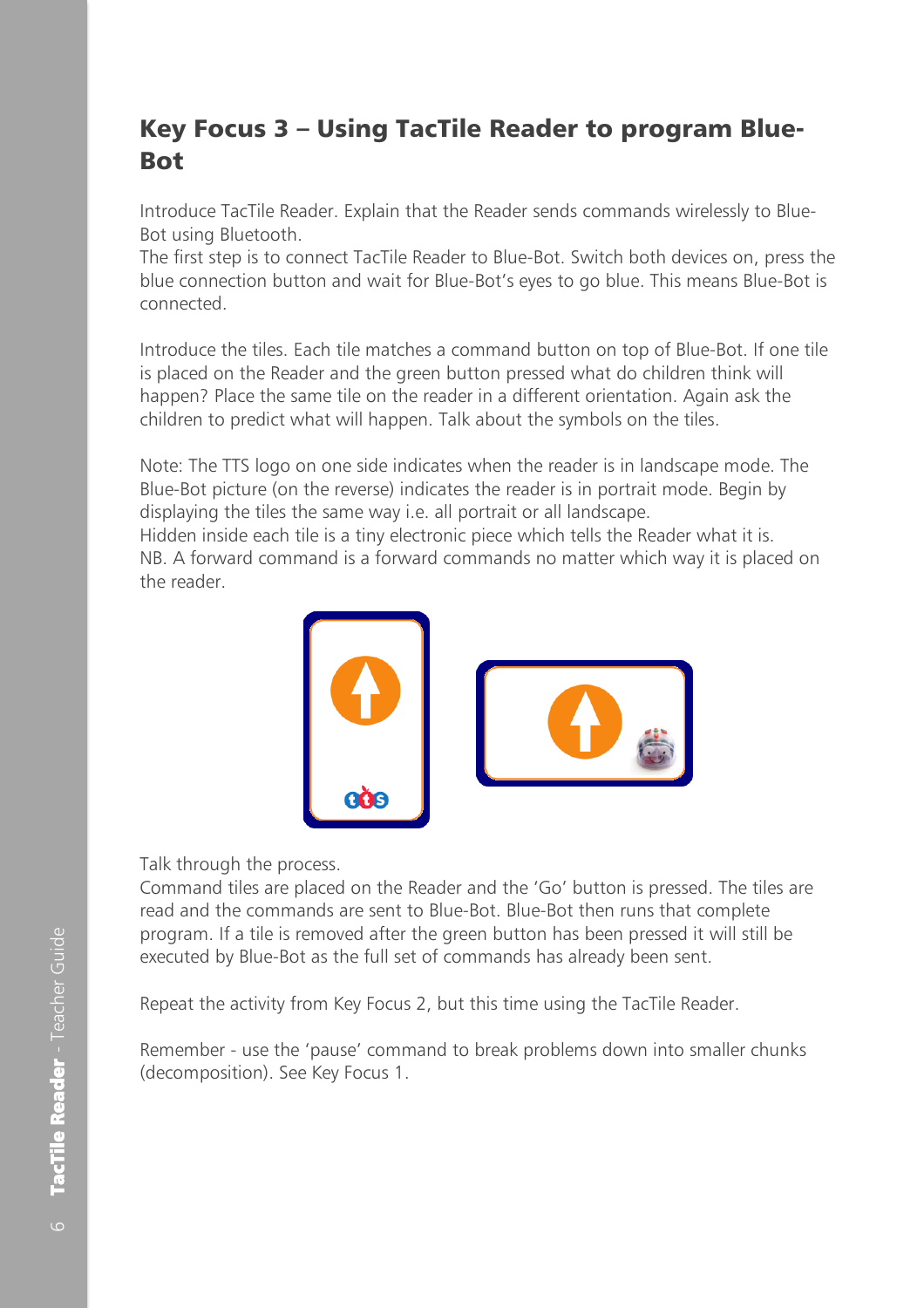#### <span id="page-5-0"></span>Key Focus 3 – Using TacTile Reader to program Blue-Bot

Introduce TacTile Reader. Explain that the Reader sends commands wirelessly to Blue-Bot using Bluetooth.

The first step is to connect TacTile Reader to Blue-Bot. Switch both devices on, press the blue connection button and wait for Blue-Bot's eyes to go blue. This means Blue-Bot is connected.

Introduce the tiles. Each tile matches a command button on top of Blue-Bot. If one tile is placed on the Reader and the green button pressed what do children think will happen? Place the same tile on the reader in a different orientation. Again ask the children to predict what will happen. Talk about the symbols on the tiles.

Note: The TTS logo on one side indicates when the reader is in landscape mode. The Blue-Bot picture (on the reverse) indicates the reader is in portrait mode. Begin by displaying the tiles the same way i.e. all portrait or all landscape.

Hidden inside each tile is a tiny electronic piece which tells the Reader what it is. NB. A forward command is a forward commands no matter which way it is placed on the reader.



#### Talk through the process.

Command tiles are placed on the Reader and the 'Go' button is pressed. The tiles are read and the commands are sent to Blue-Bot. Blue-Bot then runs that complete program. If a tile is removed after the green button has been pressed it will still be executed by Blue-Bot as the full set of commands has already been sent.

Repeat the activity from Key Focus 2, but this time using the TacTile Reader.

Remember - use the 'pause' command to break problems down into smaller chunks (decomposition). See Key Focus 1.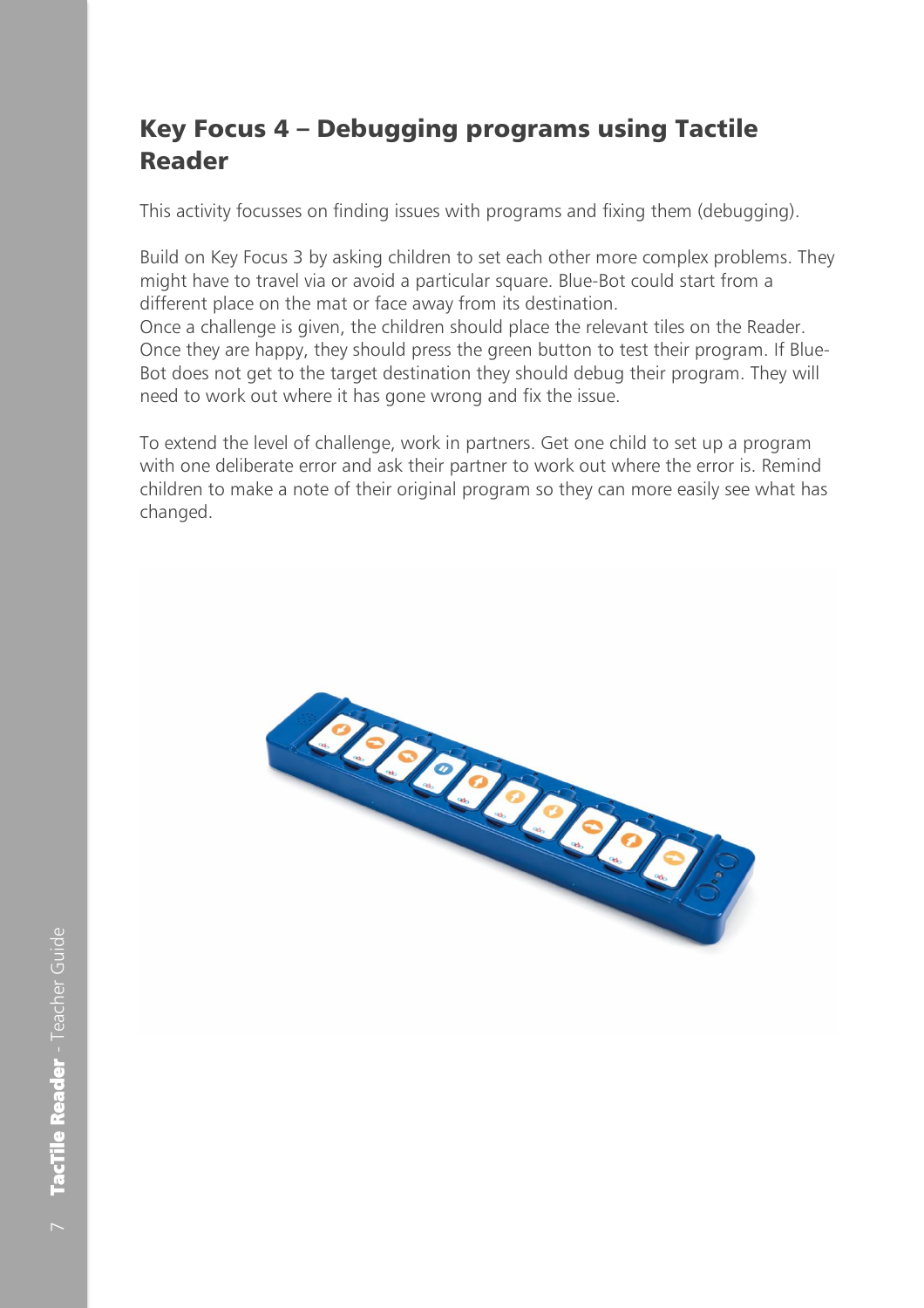## <span id="page-6-0"></span>Key Focus 4 – Debugging programs using Tactile Reader

This activity focusses on finding issues with programs and fixing them (debugging).

Build on Key Focus 3 by asking children to set each other more complex problems. They might have to travel via or avoid a particular square. Blue-Bot could start from a different place on the mat or face away from its destination.

Once a challenge is given, the children should place the relevant tiles on the Reader. Once they are happy, they should press the green button to test their program. If Blue-Bot does not get to the target destination they should debug their program. They will need to work out where it has gone wrong and fix the issue.

To extend the level of challenge, work in partners. Get one child to set up a program with one deliberate error and ask their partner to work out where the error is. Remind children to make a note of their original program so they can more easily see what has changed.

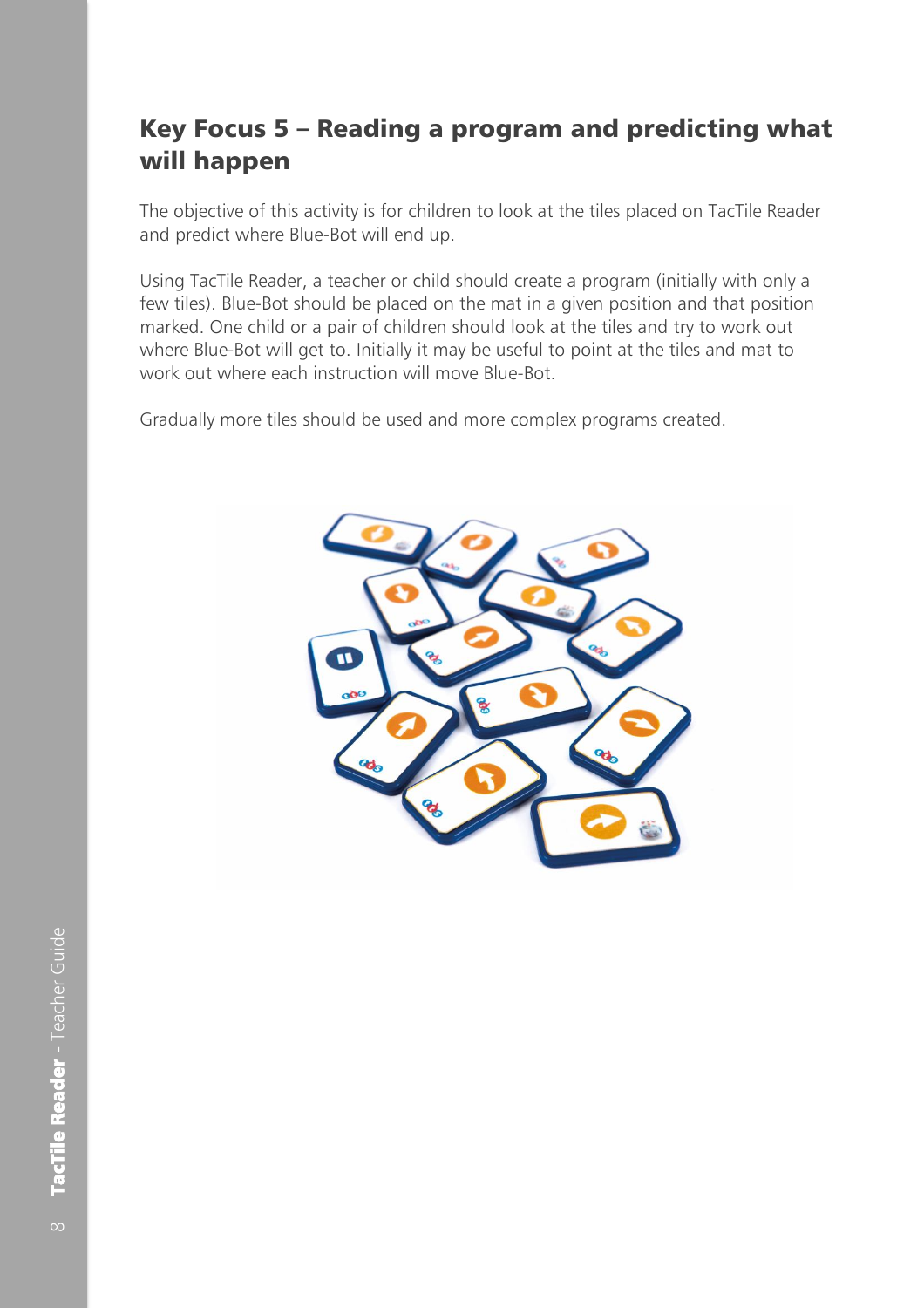## <span id="page-7-0"></span>Key Focus 5 – Reading a program and predicting what will happen

The objective of this activity is for children to look at the tiles placed on TacTile Reader and predict where Blue-Bot will end up.

Using TacTile Reader, a teacher or child should create a program (initially with only a few tiles). Blue-Bot should be placed on the mat in a given position and that position marked. One child or a pair of children should look at the tiles and try to work out where Blue-Bot will get to. Initially it may be useful to point at the tiles and mat to work out where each instruction will move Blue-Bot.

Gradually more tiles should be used and more complex programs created.